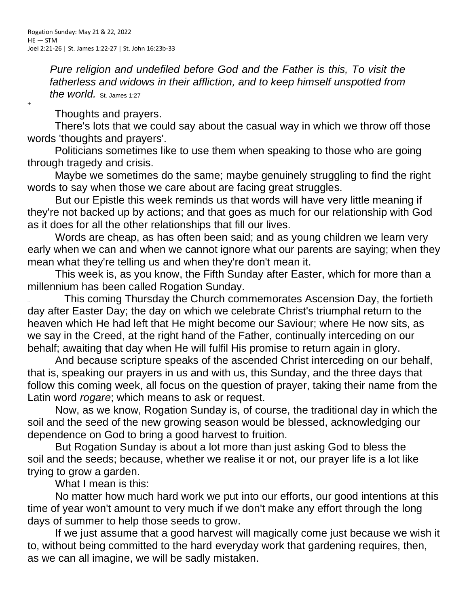*Pure religion and undefiled before God and the Father is this, To visit the fatherless and widows in their affliction, and to keep himself unspotted from the world.* St. James 1:27

Thoughts and prayers.

+

There's lots that we could say about the casual way in which we throw off those words 'thoughts and prayers'.

Politicians sometimes like to use them when speaking to those who are going through tragedy and crisis.

Maybe we sometimes do the same; maybe genuinely struggling to find the right words to say when those we care about are facing great struggles.

But our Epistle this week reminds us that words will have very little meaning if they're not backed up by actions; and that goes as much for our relationship with God as it does for all the other relationships that fill our lives.

Words are cheap, as has often been said; and as young children we learn very early when we can and when we cannot ignore what our parents are saying; when they mean what they're telling us and when they're don't mean it.

This week is, as you know, the Fifth Sunday after Easter, which for more than a millennium has been called Rogation Sunday.

This coming Thursday the Church commemorates Ascension Day, the fortieth day after Easter Day; the day on which we celebrate Christ's triumphal return to the heaven which He had left that He might become our Saviour; where He now sits, as we say in the Creed, at the right hand of the Father, continually interceding on our behalf; awaiting that day when He will fulfil His promise to return again in glory.

And because scripture speaks of the ascended Christ interceding on our behalf, that is, speaking our prayers in us and with us, this Sunday, and the three days that follow this coming week, all focus on the question of prayer, taking their name from the Latin word *rogare*; which means to ask or request.

Now, as we know, Rogation Sunday is, of course, the traditional day in which the soil and the seed of the new growing season would be blessed, acknowledging our dependence on God to bring a good harvest to fruition.

But Rogation Sunday is about a lot more than just asking God to bless the soil and the seeds; because, whether we realise it or not, our prayer life is a lot like trying to grow a garden.

What I mean is this:

No matter how much hard work we put into our efforts, our good intentions at this time of year won't amount to very much if we don't make any effort through the long days of summer to help those seeds to grow.

If we just assume that a good harvest will magically come just because we wish it to, without being committed to the hard everyday work that gardening requires, then, as we can all imagine, we will be sadly mistaken.